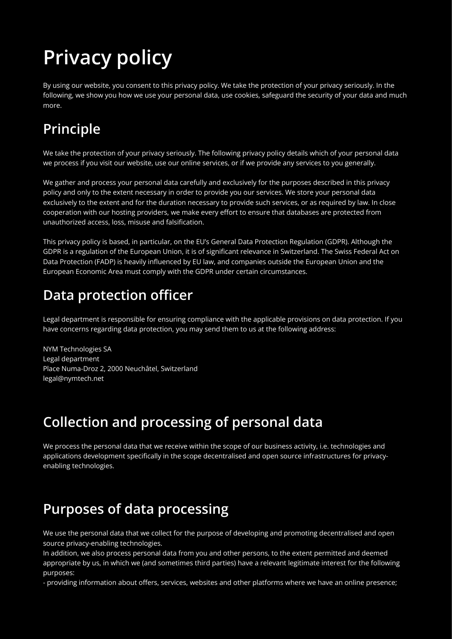# **Privacy policy**

By using our website, you consent to this privacy policy. We take the protection of your privacy seriously. In the following, we show you how we use your personal data, use cookies, safeguard the security of your data and much more.

# **Principle**

We take the protection of your privacy seriously. The following privacy policy details which of your personal data we process if you visit our website, use our online services, or if we provide any services to you generally.

We gather and process your personal data carefully and exclusively for the purposes described in this privacy policy and only to the extent necessary in order to provide you our services. We store your personal data exclusively to the extent and for the duration necessary to provide such services, or as required by law. In close cooperation with our hosting providers, we make every effort to ensure that databases are protected from unauthorized access, loss, misuse and falsification.

This privacy policy is based, in particular, on the EU's General Data Protection Regulation (GDPR). Although the GDPR is a regulation of the European Union, it is of significant relevance in Switzerland. The Swiss Federal Act on Data Protection (FADP) is heavily influenced by EU law, and companies outside the European Union and the European Economic Area must comply with the GDPR under certain circumstances.

### **Data protection officer**

Legal department is responsible for ensuring compliance with the applicable provisions on data protection. If you have concerns regarding data protection, you may send them to us at the following address:

NYM Technologies SA Legal department Place Numa-Droz 2, 2000 Neuchâtel, Switzerland legal@nymtech.net

# **Collection and processing of personal data**

We process the personal data that we receive within the scope of our business activity, i.e. technologies and applications development specifically in the scope decentralised and open source infrastructures for privacyenabling technologies.

### **Purposes of data processing**

We use the personal data that we collect for the purpose of developing and promoting decentralised and open source privacy-enabling technologies.

In addition, we also process personal data from you and other persons, to the extent permitted and deemed appropriate by us, in which we (and sometimes third parties) have a relevant legitimate interest for the following purposes:

- providing information about offers, services, websites and other platforms where we have an online presence;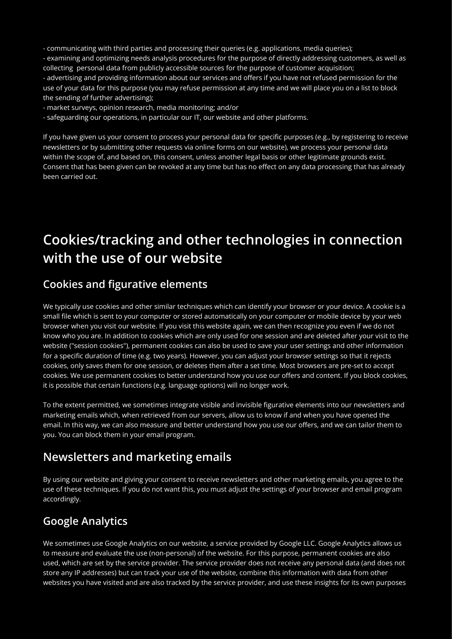- communicating with third parties and processing their queries (e.g. applications, media queries);

- examining and optimizing needs analysis procedures for the purpose of directly addressing customers, as well as collecting personal data from publicly accessible sources for the purpose of customer acquisition; - advertising and providing information about our services and offers if you have not refused permission for the use of your data for this purpose (you may refuse permission at any time and we will place you on a list to block the sending of further advertising);

- market surveys, opinion research, media monitoring; and/or

- safeguarding our operations, in particular our IT, our website and other platforms.

If you have given us your consent to process your personal data for specific purposes (e.g., by registering to receive newsletters or by submitting other requests via online forms on our website), we process your personal data within the scope of, and based on, this consent, unless another legal basis or other legitimate grounds exist. Consent that has been given can be revoked at any time but has no effect on any data processing that has already been carried out.

### **Cookies/tracking and other technologies in connection with the use of our website**

#### **Cookies and figurative elements**

We typically use cookies and other similar techniques which can identify your browser or your device. A cookie is a small file which is sent to your computer or stored automatically on your computer or mobile device by your web browser when you visit our website. If you visit this website again, we can then recognize you even if we do not know who you are. In addition to cookies which are only used for one session and are deleted after your visit to the website ("session cookies"), permanent cookies can also be used to save your user settings and other information for a specific duration of time (e.g. two years). However, you can adjust your browser settings so that it rejects cookies, only saves them for one session, or deletes them after a set time. Most browsers are pre-set to accept cookies. We use permanent cookies to better understand how you use our offers and content. If you block cookies, it is possible that certain functions (e.g. language options) will no longer work.

To the extent permitted, we sometimes integrate visible and invisible figurative elements into our newsletters and marketing emails which, when retrieved from our servers, allow us to know if and when you have opened the email. In this way, we can also measure and better understand how you use our offers, and we can tailor them to you. You can block them in your email program.

#### **Newsletters and marketing emails**

By using our website and giving your consent to receive newsletters and other marketing emails, you agree to the use of these techniques. If you do not want this, you must adjust the settings of your browser and email program accordingly.

#### **Google Analytics**

We sometimes use Google Analytics on our website, a service provided by Google LLC. Google Analytics allows us to measure and evaluate the use (non-personal) of the website. For this purpose, permanent cookies are also used, which are set by the service provider. The service provider does not receive any personal data (and does not store any IP addresses) but can track your use of the website, combine this information with data from other websites you have visited and are also tracked by the service provider, and use these insights for its own purposes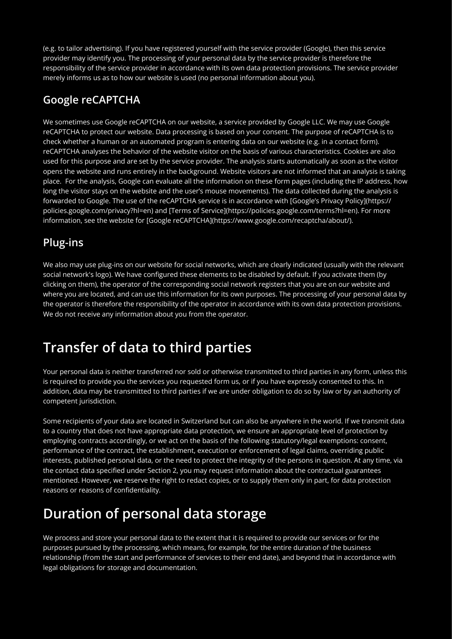(e.g. to tailor advertising). If you have registered yourself with the service provider (Google), then this service provider may identify you. The processing of your personal data by the service provider is therefore the responsibility of the service provider in accordance with its own data protection provisions. The service provider merely informs us as to how our website is used (no personal information about you).

#### **Google reCAPTCHA**

We sometimes use Google reCAPTCHA on our website, a service provided by Google LLC. We may use Google reCAPTCHA to protect our website. Data processing is based on your consent. The purpose of reCAPTCHA is to check whether a human or an automated program is entering data on our website (e.g. in a contact form). reCAPTCHA analyses the behavior of the website visitor on the basis of various characteristics. Cookies are also used for this purpose and are set by the service provider. The analysis starts automatically as soon as the visitor opens the website and runs entirely in the background. Website visitors are not informed that an analysis is taking place. For the analysis, Google can evaluate all the information on these form pages (including the IP address, how long the visitor stays on the website and the user's mouse movements). The data collected during the analysis is forwarded to Google. The use of the reCAPTCHA service is in accordance with [Google's Privacy Policy](https:// policies.google.com/privacy?hl=en) and [Terms of Service](https://policies.google.com/terms?hl=en). For more information, see the website for [Google reCAPTCHA](https://www.google.com/recaptcha/about/).

#### **Plug-ins**

We also may use plug-ins on our website for social networks, which are clearly indicated (usually with the relevant social network's logo). We have configured these elements to be disabled by default. If you activate them (by clicking on them), the operator of the corresponding social network registers that you are on our website and where you are located, and can use this information for its own purposes. The processing of your personal data by the operator is therefore the responsibility of the operator in accordance with its own data protection provisions. We do not receive any information about you from the operator.

# **Transfer of data to third parties**

Your personal data is neither transferred nor sold or otherwise transmitted to third parties in any form, unless this is required to provide you the services you requested form us, or if you have expressly consented to this. In addition, data may be transmitted to third parties if we are under obligation to do so by law or by an authority of competent jurisdiction.

Some recipients of your data are located in Switzerland but can also be anywhere in the world. If we transmit data to a country that does not have appropriate data protection, we ensure an appropriate level of protection by employing contracts accordingly, or we act on the basis of the following statutory/legal exemptions: consent, performance of the contract, the establishment, execution or enforcement of legal claims, overriding public interests, published personal data, or the need to protect the integrity of the persons in question. At any time, via the contact data specified under Section 2, you may request information about the contractual guarantees mentioned. However, we reserve the right to redact copies, or to supply them only in part, for data protection reasons or reasons of confidentiality.

# **Duration of personal data storage**

We process and store your personal data to the extent that it is required to provide our services or for the purposes pursued by the processing, which means, for example, for the entire duration of the business relationship (from the start and performance of services to their end date), and beyond that in accordance with legal obligations for storage and documentation.